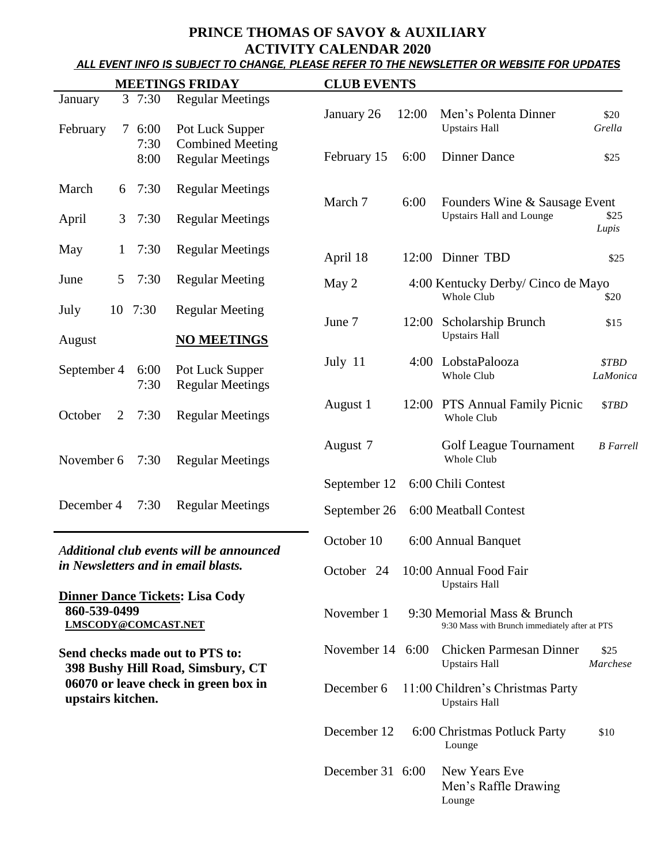# **PRINCE THOMAS OF SAVOY & AUXILIARY**

ACTIVITY CALENDAR 2020<br>ALL EVENT INFO IS SUBJECT TO CHANGE, PLEASE REFER TO THE NEWSLETTER OR WEBSITE FOR UPDATES

| <b>MEETINGS FRIDAY</b>                                                          |              |         |                                            | <b>CLUB EVENTS</b>       |                     |                                                  |                  |
|---------------------------------------------------------------------------------|--------------|---------|--------------------------------------------|--------------------------|---------------------|--------------------------------------------------|------------------|
| January                                                                         |              | 37:30   | <b>Regular Meetings</b>                    |                          |                     |                                                  |                  |
|                                                                                 |              |         |                                            | January 26               | 12:00               | Men's Polenta Dinner                             | \$20             |
| February                                                                        | $\tau$       | 6:00    | Pot Luck Supper                            |                          |                     | <b>Upstairs Hall</b>                             | Grella           |
|                                                                                 |              | 7:30    | <b>Combined Meeting</b>                    | February 15              | 6:00                | <b>Dinner Dance</b>                              |                  |
|                                                                                 |              | 8:00    | <b>Regular Meetings</b>                    |                          |                     |                                                  | \$25             |
| March                                                                           | 6            | 7:30    | <b>Regular Meetings</b>                    |                          |                     |                                                  |                  |
|                                                                                 |              |         |                                            | March 7                  | 6:00                | Founders Wine & Sausage Event                    |                  |
| April                                                                           | 3            | 7:30    | <b>Regular Meetings</b>                    |                          |                     | <b>Upstairs Hall and Lounge</b>                  | \$25             |
|                                                                                 |              |         |                                            |                          |                     |                                                  | Lupis            |
| May                                                                             | $\mathbf{1}$ | 7:30    | <b>Regular Meetings</b>                    | April 18                 |                     | 12:00 Dinner TBD                                 | \$25             |
| June                                                                            | 5            | 7:30    | <b>Regular Meeting</b>                     |                          |                     |                                                  |                  |
|                                                                                 |              |         |                                            | May 2                    |                     | 4:00 Kentucky Derby/ Cinco de Mayo<br>Whole Club | \$20             |
| July                                                                            |              | 10 7:30 | <b>Regular Meeting</b>                     |                          |                     |                                                  |                  |
|                                                                                 |              |         |                                            | June 7                   | 12:00               | Scholarship Brunch                               | \$15             |
| August                                                                          |              |         | <b>NO MEETINGS</b>                         |                          |                     | <b>Upstairs Hall</b>                             |                  |
| September 4                                                                     |              | 6:00    |                                            | July 11                  |                     | 4:00 LobstaPalooza<br>Whole Club                 | \$TBD            |
|                                                                                 |              | 7:30    | Pot Luck Supper<br><b>Regular Meetings</b> |                          |                     |                                                  | LaMonica         |
|                                                                                 |              |         |                                            | August 1                 |                     | 12:00 PTS Annual Family Picnic                   | \$TBD            |
| October                                                                         | 2            | 7:30    | <b>Regular Meetings</b>                    |                          |                     | Whole Club                                       |                  |
|                                                                                 |              |         |                                            |                          |                     |                                                  |                  |
|                                                                                 |              |         |                                            | August 7                 |                     | Golf League Tournament                           | <b>B</b> Farrell |
| November 6                                                                      |              | 7:30    | <b>Regular Meetings</b>                    |                          |                     | Whole Club                                       |                  |
|                                                                                 |              |         |                                            | September 12             |                     | 6:00 Chili Contest                               |                  |
| December 4                                                                      |              | 7:30    | <b>Regular Meetings</b>                    | September 26             |                     | 6:00 Meatball Contest                            |                  |
|                                                                                 |              |         |                                            |                          |                     |                                                  |                  |
| Additional club events will be announced<br>in Newsletters and in email blasts. |              |         | October 10                                 |                          | 6:00 Annual Banquet |                                                  |                  |
|                                                                                 |              |         |                                            |                          |                     |                                                  |                  |
|                                                                                 |              |         |                                            | October 24               |                     | 10:00 Annual Food Fair                           |                  |
|                                                                                 |              |         | <b>Dinner Dance Tickets: Lisa Cody</b>     |                          |                     | <b>Upstairs Hall</b>                             |                  |
| 860-539-0499                                                                    |              |         |                                            | November 1               |                     | 9:30 Memorial Mass & Brunch                      |                  |
| LMSCODY@COMCAST.NET                                                             |              |         |                                            |                          |                     | 9:30 Mass with Brunch immediately after at PTS   |                  |
|                                                                                 |              |         | Send checks made out to PTS to:            | November $14 \quad 6:00$ |                     | <b>Chicken Parmesan Dinner</b>                   | \$25             |
|                                                                                 |              |         | 398 Bushy Hill Road, Simsbury, CT          |                          |                     | <b>Upstairs Hall</b>                             | Marchese         |
|                                                                                 |              |         | 06070 or leave check in green box in       | December 6               |                     | 11:00 Children's Christmas Party                 |                  |
| upstairs kitchen.                                                               |              |         |                                            |                          |                     | <b>Upstairs Hall</b>                             |                  |
|                                                                                 |              |         |                                            |                          |                     |                                                  |                  |
|                                                                                 |              |         |                                            | December 12              |                     | 6:00 Christmas Potluck Party                     | \$10             |
|                                                                                 |              |         |                                            |                          |                     | Lounge                                           |                  |
|                                                                                 |              |         |                                            | December 31 6:00         |                     | New Years Eve                                    |                  |

Men's Raffle Drawing

Lounge